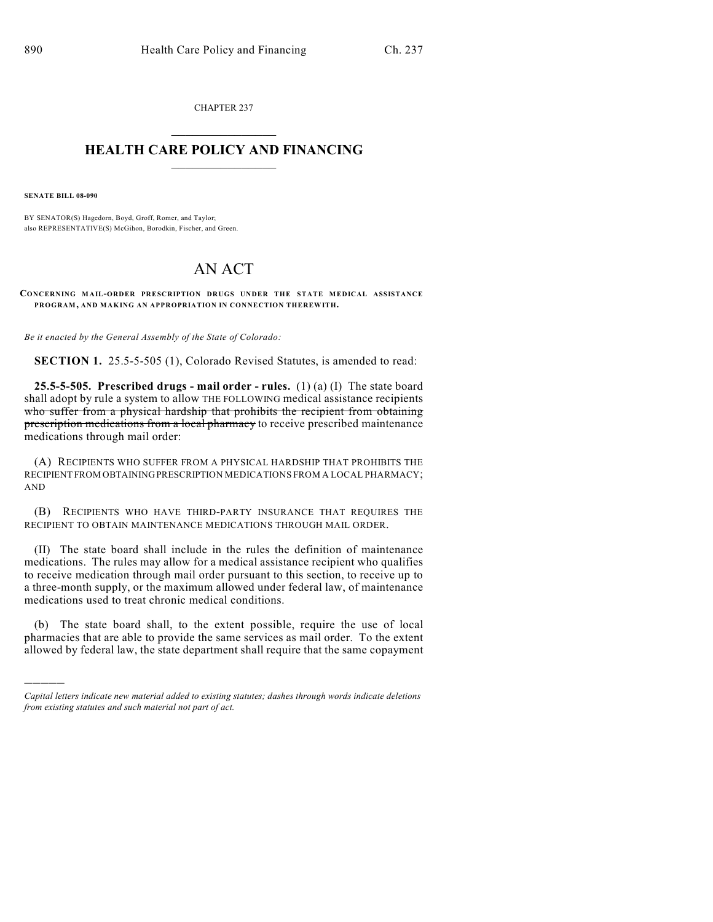CHAPTER 237  $\overline{\phantom{a}}$  . The set of the set of the set of the set of the set of the set of the set of the set of the set of the set of the set of the set of the set of the set of the set of the set of the set of the set of the set o

## **HEALTH CARE POLICY AND FINANCING**  $\_$   $\_$   $\_$   $\_$   $\_$   $\_$   $\_$   $\_$

**SENATE BILL 08-090**

)))))

BY SENATOR(S) Hagedorn, Boyd, Groff, Romer, and Taylor; also REPRESENTATIVE(S) McGihon, Borodkin, Fischer, and Green.

## AN ACT

**CONCERNING MAIL-ORDER PRESCRIPTION DRUGS UNDER THE STATE MEDICAL ASSISTANCE PROGRAM, AND MAKING AN APPROPRIATION IN CONNECTION THEREWITH.**

*Be it enacted by the General Assembly of the State of Colorado:*

**SECTION 1.** 25.5-5-505 (1), Colorado Revised Statutes, is amended to read:

**25.5-5-505. Prescribed drugs - mail order - rules.** (1) (a) (I) The state board shall adopt by rule a system to allow THE FOLLOWING medical assistance recipients who suffer from a physical hardship that prohibits the recipient from obtaining prescription medications from a local pharmacy to receive prescribed maintenance medications through mail order:

(A) RECIPIENTS WHO SUFFER FROM A PHYSICAL HARDSHIP THAT PROHIBITS THE RECIPIENT FROM OBTAINING PRESCRIPTION MEDICATIONS FROM A LOCAL PHARMACY; AND

(B) RECIPIENTS WHO HAVE THIRD-PARTY INSURANCE THAT REQUIRES THE RECIPIENT TO OBTAIN MAINTENANCE MEDICATIONS THROUGH MAIL ORDER.

(II) The state board shall include in the rules the definition of maintenance medications. The rules may allow for a medical assistance recipient who qualifies to receive medication through mail order pursuant to this section, to receive up to a three-month supply, or the maximum allowed under federal law, of maintenance medications used to treat chronic medical conditions.

(b) The state board shall, to the extent possible, require the use of local pharmacies that are able to provide the same services as mail order. To the extent allowed by federal law, the state department shall require that the same copayment

*Capital letters indicate new material added to existing statutes; dashes through words indicate deletions from existing statutes and such material not part of act.*